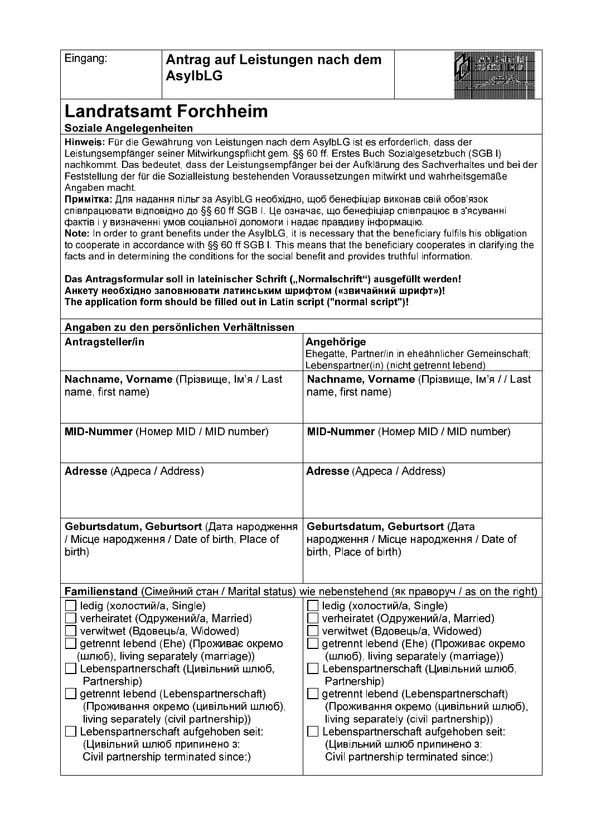| ≞inqanq∶ |
|----------|
|----------|



## **Landratsamt Forchheim**

## **Soziale Angelegenheiten**

Hinweis: Für die Gewährung von Leistungen nach dem AsylbLG ist es erforderlich, dass der Leistungsempfänger seiner Mitwirkungspflicht gem. SS 60 ff. Erstes Buch Sozialgesetzbuch (SGBI) nachkommt. Das bedeutet, dass der Leistungsempfänger bei der Aufklärung des Sachverhaltes und bei der Feststellung der für die Sozialleistung bestehenden Voraussetzungen mitwirkt und wahrheitsgemäße Angaben macht

**Примітка:** Для надання пільг за AsvIbLG необхідно, щоб бенефіціар виконав свій обов'язок cпівпрацювати відповідно до §§ 60 ff SGB І. Це означає, що бенефіціар співпрацює в з'ясуванні фактів і у визначенні умов соціальної допомоги і надає правдиву інформацію.

Note: In order to grant benefits under the AsylbLG, it is necessary that the beneficiary fulfils his obligation to cooperate in accordance with §§ 60 ff SGB I. This means that the beneficiary cooperates in clarifying the facts and in determining the conditions for the social benefit and provides truthful information.

Das Antragsformular soll in lateinischer Schrift ("Normalschrift") ausgefüllt werden! Анкету необхідно заповнювати латинським шрифтом («звичайний шрифт»)! The application form should be filled out in Latin script ("normal script")!

| Angaben zu den persönlichen Verhältnissen                                                                                                                                                                                                                                                                                                                                                                                                                                                |                                                                                                                                                                                                                                                                                                                                                                                                                                                                                          |  |
|------------------------------------------------------------------------------------------------------------------------------------------------------------------------------------------------------------------------------------------------------------------------------------------------------------------------------------------------------------------------------------------------------------------------------------------------------------------------------------------|------------------------------------------------------------------------------------------------------------------------------------------------------------------------------------------------------------------------------------------------------------------------------------------------------------------------------------------------------------------------------------------------------------------------------------------------------------------------------------------|--|
| Antragsteller/in                                                                                                                                                                                                                                                                                                                                                                                                                                                                         | Angehörige<br>Ehegatte, Partner/in in eheähnlicher Gemeinschaft;<br>Lebenspartner(in) (nicht getrennt lebend)                                                                                                                                                                                                                                                                                                                                                                            |  |
| Nachname, Vorname (Прізвище, Ім'я / Last<br>name, first name)                                                                                                                                                                                                                                                                                                                                                                                                                            | Nachname, Vorname (Прізвище, Ім'я / / Last<br>name, first name)                                                                                                                                                                                                                                                                                                                                                                                                                          |  |
| <b>MID-Nummer</b> (Homep MID / MID number)                                                                                                                                                                                                                                                                                                                                                                                                                                               | <b>MID-Nummer</b> (Homep MID / MID number)                                                                                                                                                                                                                                                                                                                                                                                                                                               |  |
| <b>Adresse</b> (Адреса / Address)                                                                                                                                                                                                                                                                                                                                                                                                                                                        | <b>Adresse</b> (Адреса / Address)                                                                                                                                                                                                                                                                                                                                                                                                                                                        |  |
| Geburtsdatum, Geburtsort (Дата народження<br>/ Місце народження / Date of birth, Place of<br>birth)                                                                                                                                                                                                                                                                                                                                                                                      | Geburtsdatum, Geburtsort (Дата<br>народження / Місце народження / Date of<br>birth, Place of birth)                                                                                                                                                                                                                                                                                                                                                                                      |  |
| <b>Familienstand</b> (Сімейний стан / Marital status) wie nebenstehend (як праворуч / as on the right)                                                                                                                                                                                                                                                                                                                                                                                   |                                                                                                                                                                                                                                                                                                                                                                                                                                                                                          |  |
| ledig (холостий/a, Single)<br>verheiratet (Одружений/а, Married)<br>verwitwet (Вдовець/а, Widowed)<br>getrennt lebend (Ehe) (Проживає окремо<br>(шлюб), living separately (marriage))<br>Lebenspartnerschaft (Цивільний шлюб,<br>Partnership)<br>getrennt lebend (Lebenspartnerschaft)<br>(Проживання окремо (цивільний шлюб),<br>living separately (civil partnership))<br>Lebenspartnerschaft aufgehoben seit:<br>(Цивільний шлюб припинено з:<br>Civil partnership terminated since.) | ledig (холостий/a, Single)<br>verheiratet (Одружений/а, Married)<br>verwitwet (Вдовець/а, Widowed)<br>getrennt lebend (Ehe) (Проживає окремо<br>(шлюб), living separately (marriage))<br>Lebenspartnerschaft (Цивільний шлюб,<br>Partnership)<br>getrennt lebend (Lebenspartnerschaft)<br>(Проживання окремо (цивільний шлюб),<br>living separately (civil partnership))<br>Lebenspartnerschaft aufgehoben seit:<br>(Цивільний шлюб припинено з:<br>Civil partnership terminated since:) |  |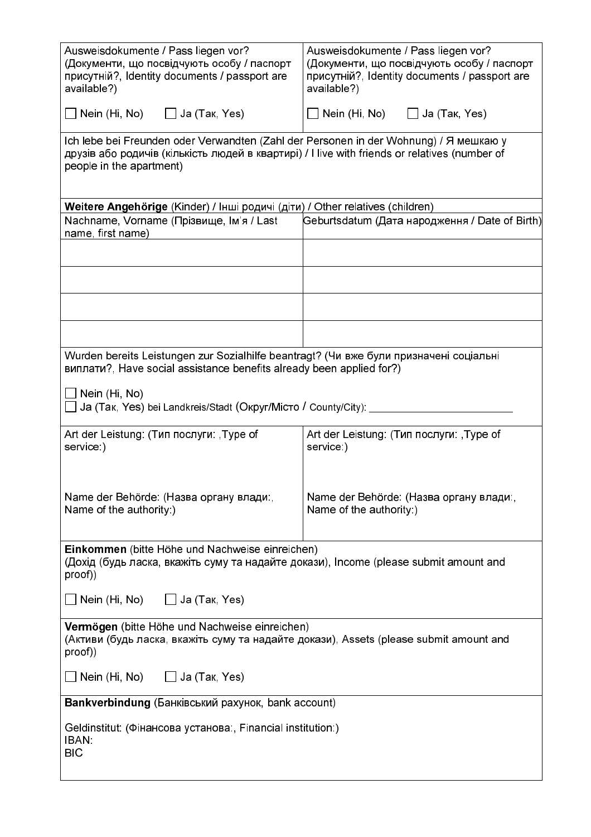| Ausweisdokumente / Pass liegen vor?<br>(Документи, що посвідчують особу / паспорт<br>присутній?, Identity documents / passport are<br>available?)                                                                  | Ausweisdokumente / Pass liegen vor?<br>(Документи, що посвідчують особу / паспорт<br>присутній?, Identity documents / passport are<br>available?) |  |
|--------------------------------------------------------------------------------------------------------------------------------------------------------------------------------------------------------------------|---------------------------------------------------------------------------------------------------------------------------------------------------|--|
| $\Box$ Nein (Hi, No) $\Box$ Ja (Tak, Yes)                                                                                                                                                                          | Nein (Hi, No) $\Box$ Ja (Tak, Yes)                                                                                                                |  |
| Ich lebe bei Freunden oder Verwandten (Zahl der Personen in der Wohnung) / Я мешкаю у<br>друзів або родичів (кількість людей в квартирі) / l live with friends or relatives (number of<br>people in the apartment) |                                                                                                                                                   |  |
| Weitere Angehörige (Kinder) / Інші родичі (діти) / Other relatives (children)                                                                                                                                      |                                                                                                                                                   |  |
| Nachname, Vorname (Прізвище, Ім'я / Last<br>name, first name)                                                                                                                                                      | Geburtsdatum (Дата народження / Date of Birth)                                                                                                    |  |
|                                                                                                                                                                                                                    |                                                                                                                                                   |  |
|                                                                                                                                                                                                                    |                                                                                                                                                   |  |
|                                                                                                                                                                                                                    |                                                                                                                                                   |  |
|                                                                                                                                                                                                                    |                                                                                                                                                   |  |
| Wurden bereits Leistungen zur Sozialhilfe beantragt? (Чи вже були призначені соціальні<br>виплати?, Have social assistance benefits already been applied for?)                                                     |                                                                                                                                                   |  |
| Nein (Hi, No)<br>Ja (Так, Yes) bei Landkreis/Stadt (Округ/Місто / County/City): ___                                                                                                                                |                                                                                                                                                   |  |
| Art der Leistung: (Тип послуги: Type of<br>service:)                                                                                                                                                               | Art der Leistung: (Тип послуги: Type of<br>service:)                                                                                              |  |
| Name der Behörde: (Назва органу влади:,<br>Name of the authority:)                                                                                                                                                 | Name der Behörde: (Назва органу влади:,<br>Name of the authority:)                                                                                |  |
| Einkommen (bitte Höhe und Nachweise einreichen)<br>(Дохід (будь ласка, вкажіть суму та надайте докази), Income (please submit amount and<br>proof))                                                                |                                                                                                                                                   |  |
| $\Box$ Nein (Hi, No) $\Box$ Ja (Tak, Yes)                                                                                                                                                                          |                                                                                                                                                   |  |
| Vermögen (bitte Höhe und Nachweise einreichen)<br>(Активи (будь ласка, вкажіть суму та надайте докази), Assets (please submit amount and<br>proof))                                                                |                                                                                                                                                   |  |
| _] Nein (Hi, No)                   Ja (Так, Yes)                                                                                                                                                                   |                                                                                                                                                   |  |
| Bankverbindung (Банківський рахунок, bank account)                                                                                                                                                                 |                                                                                                                                                   |  |
| Geldinstitut: (Фінансова установа:, Financial institution:)<br><b>IBAN:</b><br><b>BIC</b>                                                                                                                          |                                                                                                                                                   |  |